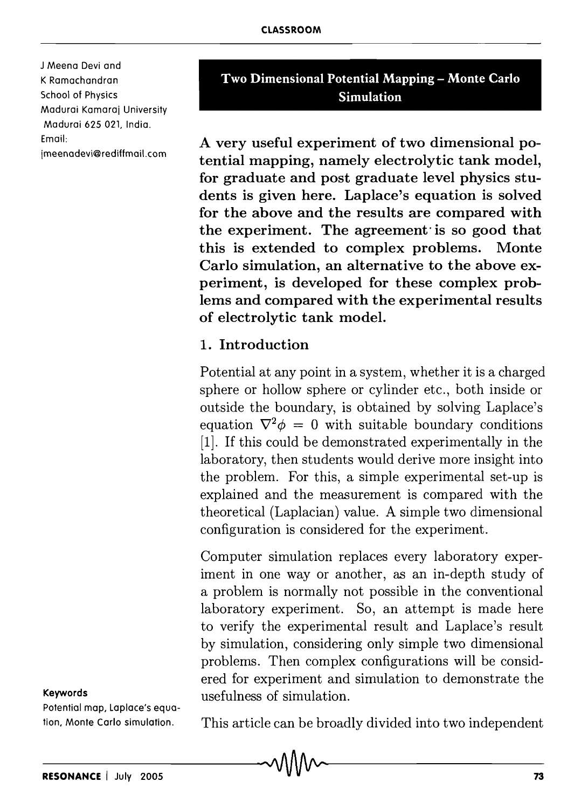J Meena Devi and K Ramachandran School of Physics Madurai Kamaraj University Madurai *62S* 021, India. Email:

jmeenadevi@rediffmail.com

# Two Dimensional Potential Mapping – Monte Carlo Simulation

A very useful experiment of two dimensional potential mapping, namely electrolytic tank model, for graduate and post graduate level physics students is given here. Laplace's equation is solved for the above and the results are compared with the experiment. The agreement· is so good that this is extended to complex problems. Monte Carlo simulation, an alternative to the above experiment, is developed for these complex problems and compared with the experimental results of electrolytic tank model.

#### 1. Introduction

Potential at any point in a system, whether it is a charged sphere or hollow sphere or cylinder etc., both inside or outside the boundary, is obtained by solving Laplace's equation  $\nabla^2 \phi = 0$  with suitable boundary conditions [1]. If this could be demonstrated experimentally in the laboratory, then students would derive more insight into the problem. For this, a simple experimental set-up is explained and the measurement is compared with the theoretical (Laplacian) value. A simple two dimensional configuration is considered for the experiment.

Computer simulation replaces every laboratory experiment in one way or another, as an in-depth study of a problem is normally not possible in the conventional laboratory experiment. So, an attempt is made here to verify the experimental result and Laplace's result by simulation, considering only simple two dimensional problems. Then complex configurations will be considered for experiment and simulation to demonstrate the usefulness of simulation.

#### Keywords

Potential map. Laplace's equation, Monte Carlo simulation.

This article can be broadly divided into two independent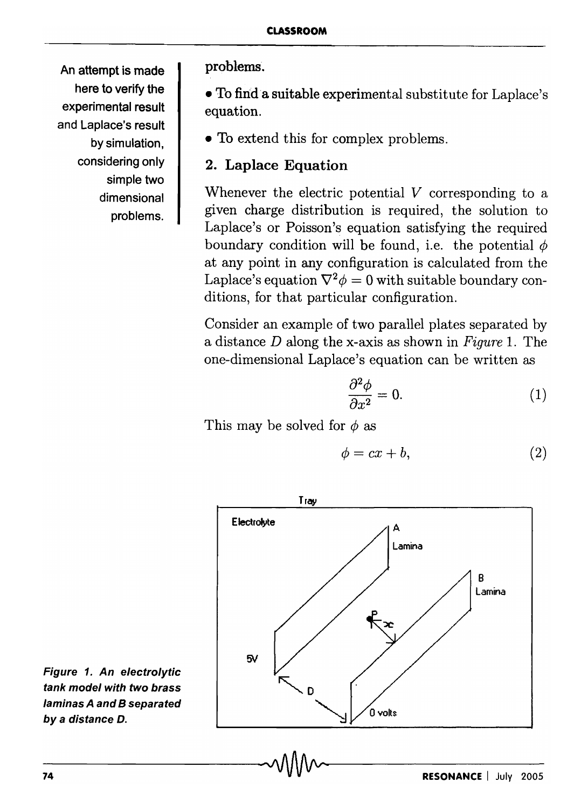An attempt is made here to verify the experimental result and Laplace's result by simulation, considering only simple two dimensional problems.

problems.

• To find'a suitable experimental substitute for Laplace's equation.

• To extend this for complex problems.

# 2. Laplace Equation

Whenever the electric potential *V* corresponding to a given charge distribution is required, the solution to Laplace's or Poisson's equation satisfying the required boundary condition will be found, i.e. the potential  $\phi$ at any point in any configuration is calculated from the Laplace's equation  $\nabla^2 \phi = 0$  with suitable boundary conditions, for that particular configuration.

Consider an example of two parallel plates separated by a distance *D* along the x-axis as shown in *Figure* 1. The one-dimensional Laplace's equation can be written as

$$
\frac{\partial^2 \phi}{\partial x^2} = 0. \tag{1}
$$

This may be solved for  $\phi$  as

$$
\phi = cx + b,\tag{2}
$$



Figure 1. An electrolytic tank model with two brass laminas A and B separated by a distance D.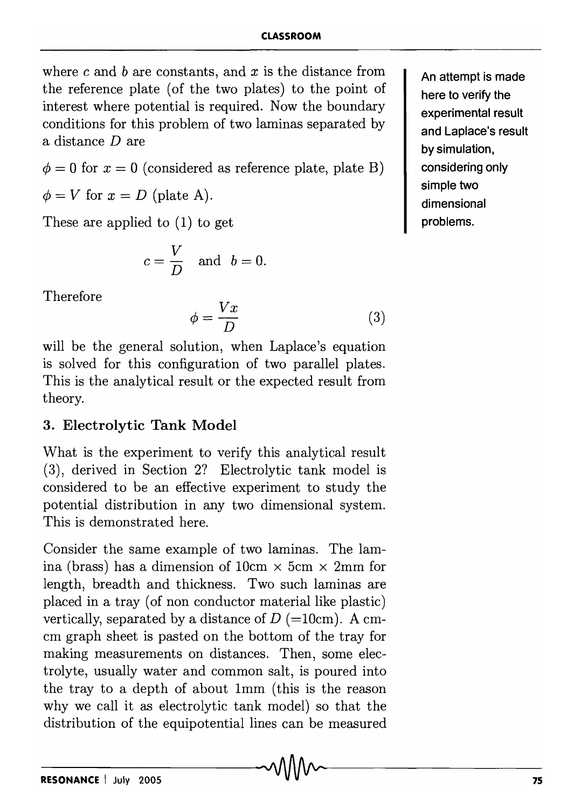where c and *b* are constants, and *x* is the distance from the reference plate (of the two plates) to the point of interest where potential is required. Now the boundary conditions for this problem of two laminas separated by a distance  $D$  are

 $\phi = 0$  for  $x = 0$  (considered as reference plate, plate B)

 $\phi = V$  for  $x = D$  (plate A).

These are applied to (I) to get

$$
c=\frac{V}{D} \quad \text{and} \quad b=0.
$$

Therefore

$$
\phi = \frac{Vx}{D} \tag{3}
$$

will be the general solution, when Laplace's equation is solved for this configuration of two parallel plates. This is the analytical result or the expected result from theory.

# **3. Electrolytic Tank Model**

What is the experiment to verify this analytical result (3), derived in Section 2? Electrolytic tank model is considered to be an effective experiment to study the potential distribution in any two dimensional system. This is demonstrated here.

Consider the same example of two laminas. The lamina (brass) has a dimension of  $10 \text{cm} \times 5 \text{cm} \times 2 \text{mm}$  for length, breadth and thickness. Two such laminas are placed in a tray (of non conductor material like plastic) vertically, separated by a distance of  $D$  (=10cm). A cmcm graph sheet is pasted on the bottom of the tray for making measurements on distances. Then, some electrolyte, usually water and common salt, is poured into the tray to a depth of about Imm (this is the reason why we call it as electrolytic tank model) so that the distribution of the equipotential lines can be measured

**An attempt is made here to verify the experimental result and Laplace's result by simulation, considering only simple two dimensional problems.**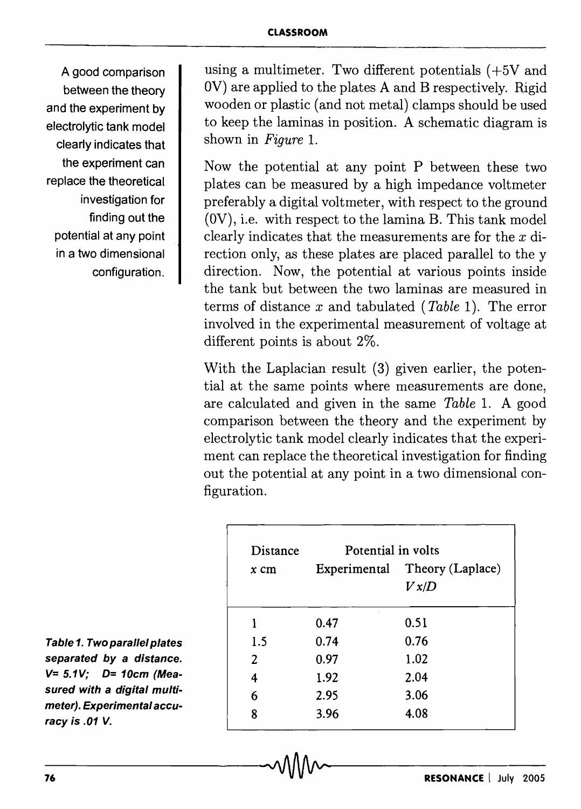A good comparison between the theory and the experiment by electrolytic tank model clearly indicates that the experiment can replace the theoretical investigation for finding out the potential at any point in a two dimensional configuration.

using a multimeter. Two different potentials (+5V and OV) are applied to the plates A and B respectively. Rigid wooden or plastic (and not metal) clamps should be used to keep the laminas in position. A schematic diagram is shown in *Figure 1.* 

Now the potential at any point  $P$  between these two plates can be measured by a high impedance voltmeter preferably a digital voltmeter, with respect to the ground (OV), i.e. with respect to the lamina B. This tank model clearly indicates that the measurements are for the  $x$  direction only, as these plates are placed parallel to the y direction. Now, the potential at various points inside the tank but between the two laminas are measured in terms of distance *x* and tabulated *(Table* 1). The error involved in the experimental measurement of voltage at different points is about 2%.

With the Laplacian result (3) given earlier, the potential at the same points where measurements are done, are calculated and given in the same *Table* 1. A good comparison between the theory and the experiment by electrolytic tank model clearly indicates that the experiment can replace the theoretical investigation for finding out the potential at any point in a two dimensional configuration.

| Distance | Potential in volts |                                        |
|----------|--------------------|----------------------------------------|
| $x$ cm   |                    | Experimental Theory (Laplace)<br>V x/D |
| 1        | 0.47               | 0.51                                   |
| 1.5      | 0.74               | 0.76                                   |
| 2        | 0.97               | 1.02                                   |
| 4        | 1.92               | 2.04                                   |
| 6        | 2.95               | 3.06                                   |
| 8        | 3.96               | 4.08                                   |

 $\sim$ 

Table 1. Two parallel plates separated by a distance.  $V= 5.1V$ ; D= 10cm (Measured with a digital multimeter). Experimental accuracy is .01 V.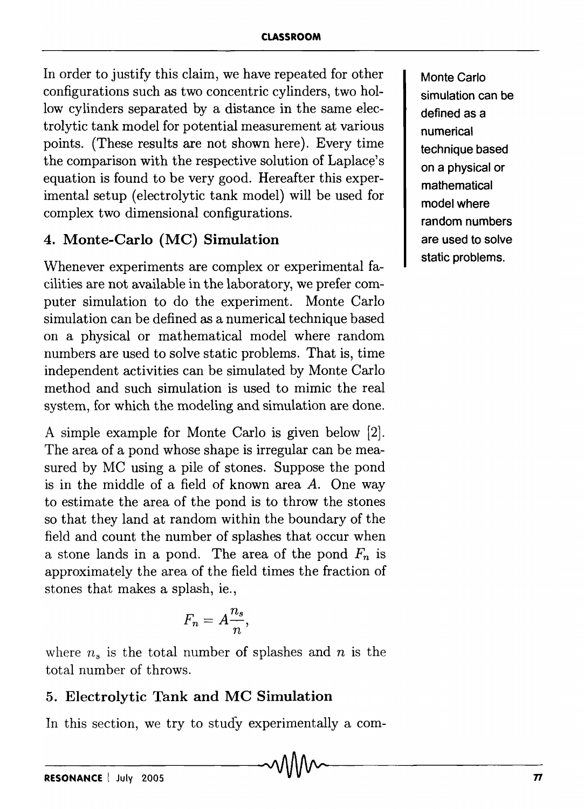In order to justify this claim, we have repeated for other configurations such as two concentric cylinders, two hollow cylinders separated by a distance in the same electrolytic tank model for potential measurement at various points. (These results are not shown here). Every time the comparison with the respective solution of Laplace's equation is found to be very good. Hereafter this experimental setup (electrolytic tank model) will be used for complex two dimensional configurations.

## 4. Monte-Carlo (MC) Simulation

Whenever experiments are complex or experimental facilities are not available in the laboratory, we prefer computer simulation to do the experiment. Monte Carlo simulation can be defined as a numerical technique based on a physical or mathematical model where random numbers are used to solve static problems. That is, time independent activities can be simulated by Monte Carlo method and such simulation is used to mimic the real system, for which the modeling and simulation are done.

A simple example for Monte Carlo is given below [2]. The area of a pond whose shape is irregular can be measured by MC using a pile of stones. Suppose the pond is in the middle of a field of known area *A.* One way to estimate the area of the pond is to throw the stones so that they land at random within the boundary of the field and count the number of splashes that occur when a stone lands in a pond. The area of the pond  $F_n$  is approximately the area of the field times the fraction of stones that makes a splash, ie.,

$$
F_n=A\frac{n_s}{n},
$$

where  $n_s$  is the total number of splashes and  $n$  is the total number of throws.

# 5. Electrolytic Tank and MC Simulation

In this section, we try to study experimentally a com-

Monte Carlo simulation can be defined as a numerical technique based on a physical or mathematical model where random numbers are used to solve static problems.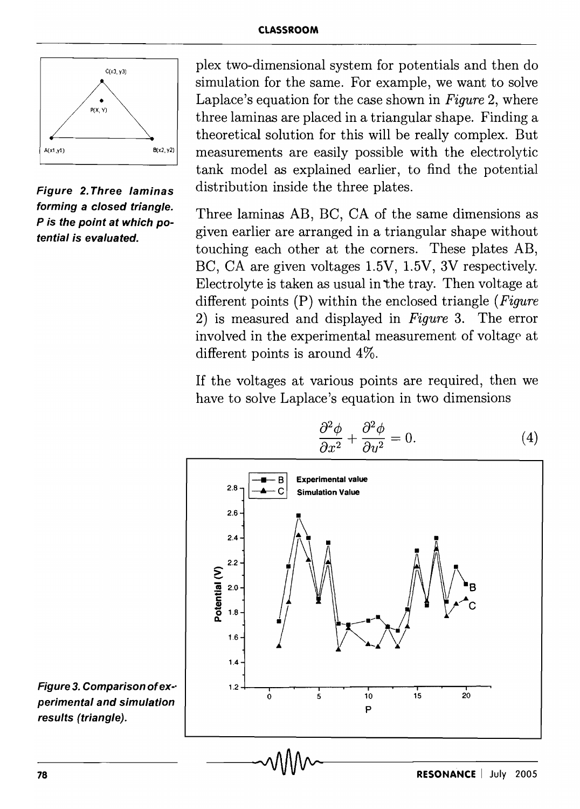

Figure 2. Three laminas forming a closed triangle. P is the point at which potential is evaluated.

plex two-dimensional system for potentials and then do simulation for the same. For example, we want to solve Laplace's equation for the case shown in *Figure* 2, where three laminas are placed in a triangular shape. Finding a theoretical solution for this will be really complex. But measurements are easily possible with the electrolytic tank model as explained earlier, to find the potential distribution inside the three plates.

Three laminas AB, BC, CA of the same dimensions as given earlier are arranged in a triangular shape without touching each other at the corners. These plates AB, BC, CA are given voltages 1.5V, 1.5V, 3V respectively. Electrolyte is taken as usual in the tray. Then voltage at different points (P) within the enclosed triangle *(Figure*  2) is measured and displayed in *Figure* 3. The error involved in the experimental measurement of voltage at different points is around 4%.

If the voltages at various points are required, then we have to solve Laplace's equation in two dimensions



Figure 3. Comparison ofex-· perimental and simulation results (triangle).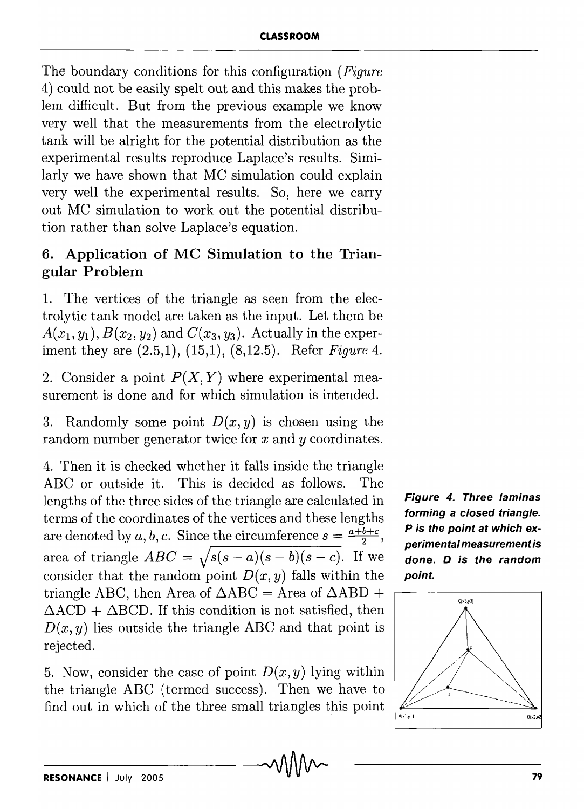The boundary conditions for this configuration *(Figure*  4) could not be easily spelt out and this makes the problem difficult. But from the previous example we know very well that the measurements from the electrolytic tank will be alright for the potential distribution as the experimental results reproduce Laplace's results. Similarly we have shown that MC simulation could explain very well the experimental results. So, here we carry out MC simulation to work out the potential distribution rather than solve Laplace's equation.

# 6. Application of MC Simulation to the Triangular Problem

1. The vertices of the triangle as seen from the electrolytic tank model are taken as the input. Let them be  $A(x_1, y_1), B(x_2, y_2)$  and  $C(x_3, y_3)$ . Actually in the experiment they are (2.5,1), (15,1), (8,12.5). Refer *Figure 4.* 

2. Consider a point  $P(X, Y)$  where experimental measurement is done and for which simulation is intended.

3. Randomly some point  $D(x, y)$  is chosen using the random number generator twice for *x* and *Y* coordinates.

4. Then it is checked whether it falls inside the triangle ABC or outside it. This is decided as follows. The lengths of the three sides of the triangle are calculated in terms of the coordinates of the vertices and these lengths are denoted by *a*, *b*, *c*. Since the circumference  $s = \frac{a+b+c}{2}$ , area of triangle  $ABC = \sqrt{s(s-a)(s-b)(s-c)}$ . If we consider that the random point  $D(x, y)$  falls within the triangle ABC, then Area of  $\triangle ABC =$  Area of  $\triangle ABD +$  $\Delta ACD + \Delta BCD$ . If this condition is not satisfied, then  $D(x, y)$  lies outside the triangle ABC and that point is rejected.

5. Now, consider the case of point  $D(x, y)$  lying within the triangle ABC (termed success). Then we have to find out in which of the three small triangles this point

Figure 4. Three laminas forming a closed triangle. P is the point at which experimental measurement is done. D is the random point.

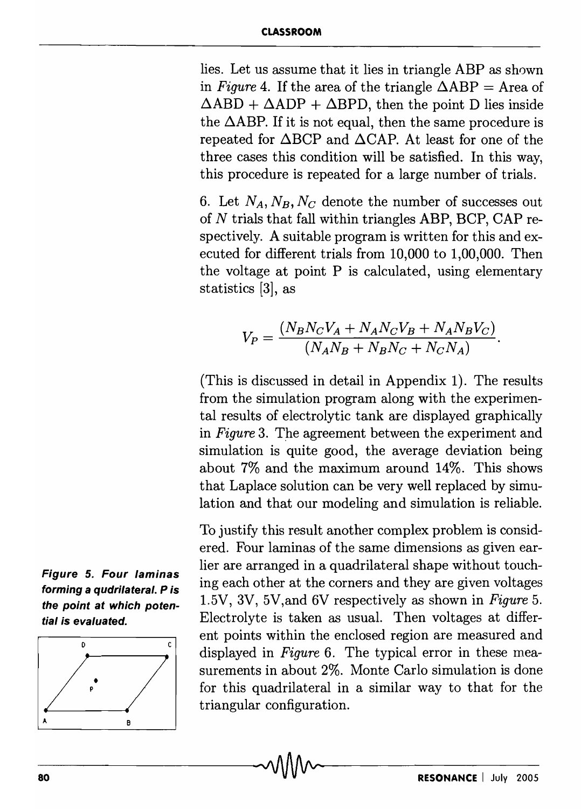#### **CLASSROOM**

lies. Let us assume that it lies in triangle ABP as shown in *Figure* 4. If the area of the triangle  $\triangle ABP = Area$  of  $\triangle ABD + \triangle ADP + \triangle BPD$ , then the point D lies inside the  $\triangle ABP$ . If it is not equal, then the same procedure is repeated for  $\triangle BCP$  and  $\triangle CAP$ . At least for one of the three cases this condition will be satisfied. In this way, this procedure is repeated for a large number of trials.

6. Let  $N_A$ ,  $N_B$ ,  $N_C$  denote the number of successes out of *N* trials that fall within triangles ABP, BCP, CAP respectively. A suitable program is written for this and executed for different trials from 10,000 to 1,00,000. Then the voltage at point P is calculated, using elementary statistics [3], as

$$
V_P = \frac{(N_B N_C V_A + N_A N_C V_B + N_A N_B V_C)}{(N_A N_B + N_B N_C + N_C N_A)}.
$$

(This is discussed in detail in Appendix 1). The results from the simulation program along with the experimental results of electrolytic tank are displayed graphically in *Figure* 3. The agreement between the experiment and simulation is quite good, the average deviation being about 7% and the maximum around 14%. This shows that Laplace solution can be very well replaced by simulation and that our modeling and simulation is reliable.

To justify this result another complex problem is considered. Four laminas of the same dimensions as given earlier are arranged in a quadrilateral shape without touching each other at the corners and they are given voltages 1.5V, 3V, 5V,and 6V respectively as shown in *Figure 5.*  Electrolyte is taken as usual. Then voltages at different points within the enclosed region are measured and displayed in *Figure* 6. The typical error in these measurements in about 2%. Monte Carlo simulation is done for this quadrilateral in a similar way to that for the triangular configuration.



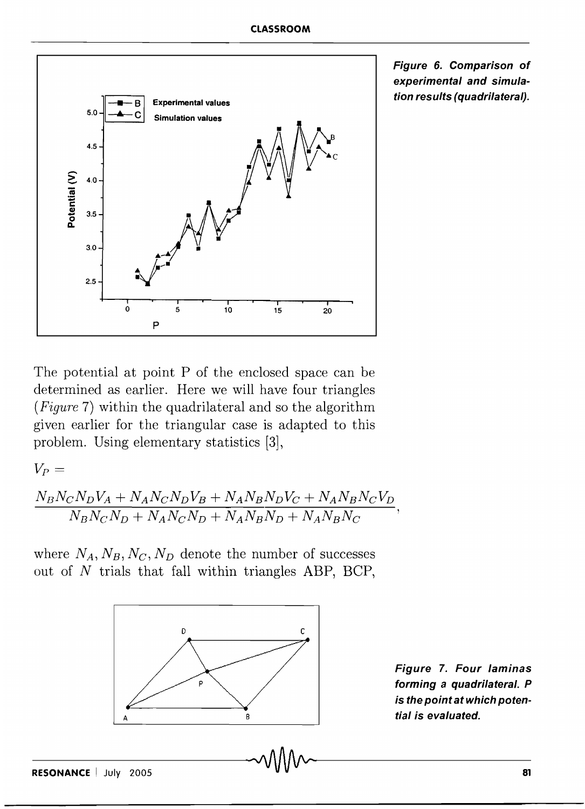

**Figure 6. Comparison of experimental and simulation results (quadrilateral).** 

The potential at point P of the enclosed space can be determined as earlier. Here we will have four triangles *(Figure* 7) within the quadrilateral and so the algorithm given earlier for the triangular case is adapted to this problem. Using elementary statistics [3],

 $V_P =$ 

$$
\frac{N_B N_C N_D V_A + N_A N_C N_D V_B + N_A N_B N_D V_C + N_A N_B N_C V_D}{N_B N_C N_D + N_A N_C N_D + N_A N_B N_D + N_A N_B N_C},
$$

where  $N_A$ ,  $N_B$ ,  $N_C$ ,  $N_D$  denote the number of successes out of  $N$  trials that fall within triangles ABP, BCP,



**Figure 7. Four laminas forming a quadrilateral. P is the point at which potential is evaluated.**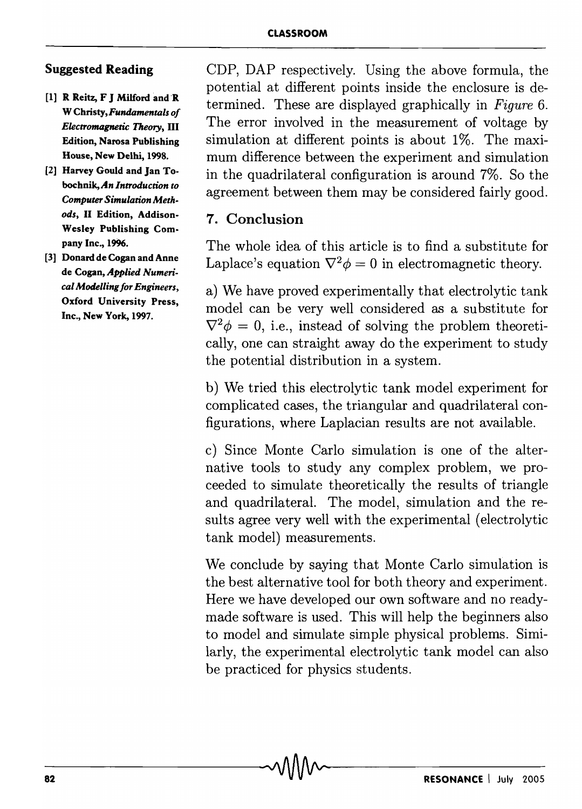#### Suggested Reading

- [1] R Reitz, F J Milford and R W Christy, *Fundamentals of Electromagnetic Theory,* III Edition, Narosa Publishing House, New Delhi, 1998.
- [2] Harvey Gould and Jan Tobochnik,An *Introduction to Computer Simulation Methods,* II Edition, Addison-Wesley Publishing Company Inc., 1996.
- [3] Donard de Cogan and Anne de Cogan, Applied *Numerical Modelling for Engineers,*  Oxford University Press, Inc., New York, 1997.

CDP, DAP respectively. Using the above formula, the potential at different points inside the enclosure is determined. These are displayed graphically in *Figure 6.*  The error involved in the measurement of voltage by simulation at different points is about 1%. The maximum difference between the experiment and simulation in the quadrilateral configuration is around 7%. So the agreement between them may be considered fairly good.

## 7. Conclusion

The whole idea of this article is to find a substitute for Laplace's equation  $\nabla^2 \phi = 0$  in electromagnetic theory.

a) We have proved experimentally that electrolytic tank model can be very well considered as a substitute for  $\nabla^2 \phi = 0$ , i.e., instead of solving the problem theoretically, one can straight away do the experiment to study the potential distribution in a system.

b) We tried this electrolytic tank model experiment for complicated cases, the triangular and quadrilateral configurations, where Laplacian results are not available.

c) Since Monte Carlo simulation is one of the alternative tools to study any complex problem, we proceeded to simulate theoretically the results of triangle and quadrilateral. The model, simulation and the results agree very well with the experimental (electrolytic tank model) measurements.

We conclude by saying that Monte Carlo simulation is the best alternative tool for both theory and experiment. Here we have developed our own software and no readymade software is used. This will help the beginners also to model and simulate simple physical problems. Similarly, the experimental electrolytic tank model can also be practiced for physics students.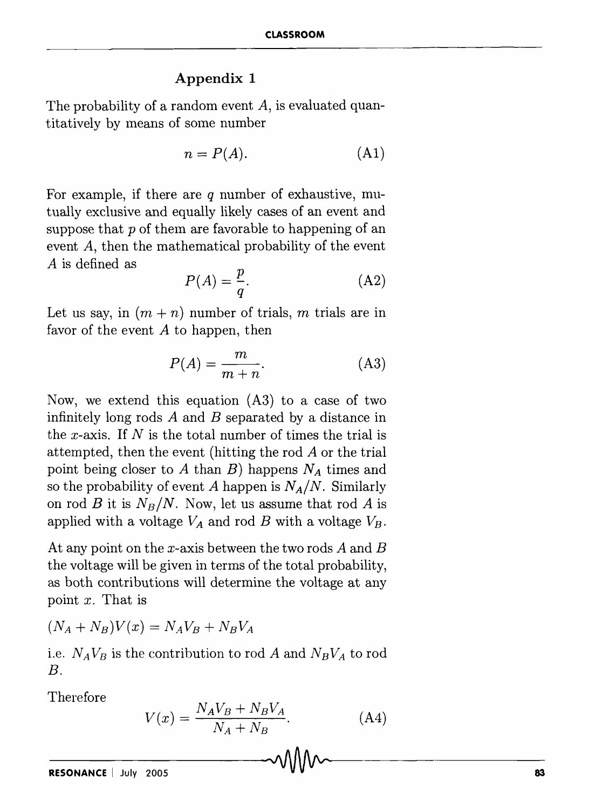#### **Appendix 1**

The probability of a random event  $A$ , is evaluated quantitatively by means of some number

$$
n = P(A). \tag{A1}
$$

For example, if there are *q* number of exhaustive, mutually exclusive and equally likely cases of an event and suppose that  $p$  of them are favorable to happening of an event A, then the mathematical probability of the event *A* is defined as

$$
P(A) = \frac{p}{q}.\tag{A2}
$$

Let us say, in  $(m + n)$  number of trials, m trials are in favor of the event  $A$  to happen, then

$$
P(A) = \frac{m}{m+n}.\tag{A3}
$$

Now, we extend this equation (A3) to a case of two infinitely long rods *A* and *B* separated by a distance in the x-axis. If *N* is the total number of times the trial is attempted, then the event (hitting the rod *A* or the trial point being closer to A than  $B$ ) happens  $N_A$  times and so the probability of event A happen is  $N_A/N$ . Similarly on rod B it is  $N_B/N$ . Now, let us assume that rod A is applied with a voltage  $V_A$  and rod *B* with a voltage  $V_B$ .

At any point on the x-axis between the two rods *A* and *B*  the voltage will be given in terms of the total probability, as both contributions will determine the voltage at any point *x.* That is

 $(N_A + N_B)V(x) = N_A V_B + N_B V_A$ 

i.e.  $N_A V_B$  is the contribution to rod *A* and  $N_B V_A$  to rod *B.* 

Therefore

$$
V(x) = \frac{N_A V_B + N_B V_A}{N_A + N_B}.\tag{A4}
$$